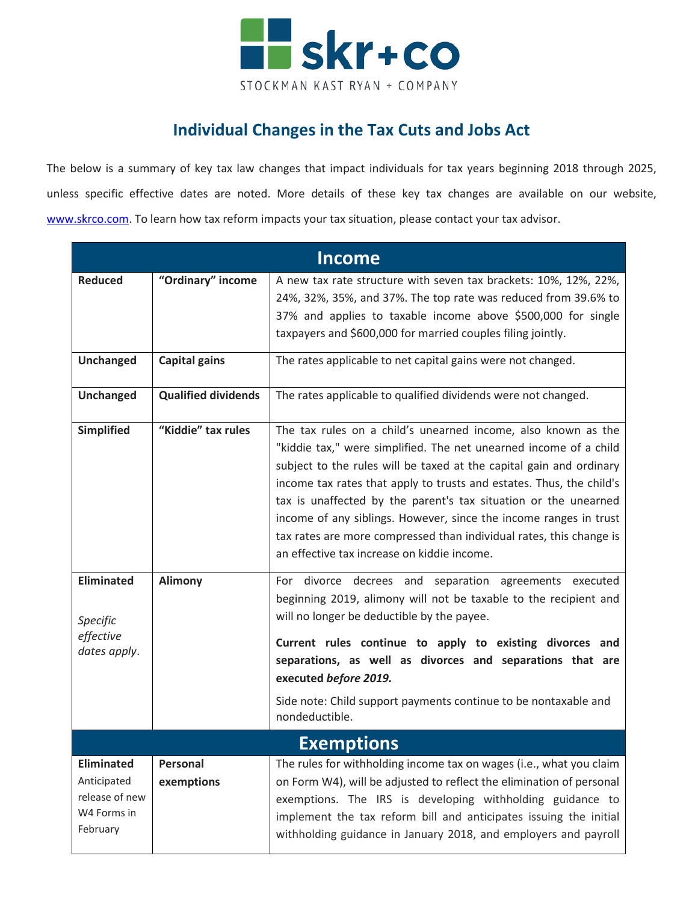

## **Individual Changes in the Tax Cuts and Jobs Act**

The below is a summary of key tax law changes that impact individuals for tax years beginning 2018 through 2025, unless specific effective dates are noted. More details of these key tax changes are available on our website, [www.skrco.com.](http://www.skrco.com/) To learn how tax reform impacts your tax situation, please contact your tax advisor.

| <b>Income</b>                                                                 |                            |                                                                                                                                                                                                                                                                                                                                                                                                                                                                                                                                                 |  |
|-------------------------------------------------------------------------------|----------------------------|-------------------------------------------------------------------------------------------------------------------------------------------------------------------------------------------------------------------------------------------------------------------------------------------------------------------------------------------------------------------------------------------------------------------------------------------------------------------------------------------------------------------------------------------------|--|
| <b>Reduced</b>                                                                | "Ordinary" income          | A new tax rate structure with seven tax brackets: 10%, 12%, 22%,<br>24%, 32%, 35%, and 37%. The top rate was reduced from 39.6% to<br>37% and applies to taxable income above \$500,000 for single<br>taxpayers and \$600,000 for married couples filing jointly.                                                                                                                                                                                                                                                                               |  |
| <b>Unchanged</b>                                                              | <b>Capital gains</b>       | The rates applicable to net capital gains were not changed.                                                                                                                                                                                                                                                                                                                                                                                                                                                                                     |  |
| <b>Unchanged</b>                                                              | <b>Qualified dividends</b> | The rates applicable to qualified dividends were not changed.                                                                                                                                                                                                                                                                                                                                                                                                                                                                                   |  |
| <b>Simplified</b>                                                             | "Kiddie" tax rules         | The tax rules on a child's unearned income, also known as the<br>"kiddie tax," were simplified. The net unearned income of a child<br>subject to the rules will be taxed at the capital gain and ordinary<br>income tax rates that apply to trusts and estates. Thus, the child's<br>tax is unaffected by the parent's tax situation or the unearned<br>income of any siblings. However, since the income ranges in trust<br>tax rates are more compressed than individual rates, this change is<br>an effective tax increase on kiddie income. |  |
| <b>Eliminated</b><br>Specific<br>effective<br>dates apply.                    | <b>Alimony</b>             | For divorce decrees and separation agreements executed<br>beginning 2019, alimony will not be taxable to the recipient and<br>will no longer be deductible by the payee.<br>Current rules continue to apply to existing divorces and<br>separations, as well as divorces and separations that are<br>executed before 2019.<br>Side note: Child support payments continue to be nontaxable and<br>nondeductible.                                                                                                                                 |  |
|                                                                               |                            | <b>Exemptions</b>                                                                                                                                                                                                                                                                                                                                                                                                                                                                                                                               |  |
| <b>Eliminated</b><br>Anticipated<br>release of new<br>W4 Forms in<br>February | Personal<br>exemptions     | The rules for withholding income tax on wages (i.e., what you claim<br>on Form W4), will be adjusted to reflect the elimination of personal<br>exemptions. The IRS is developing withholding guidance to<br>implement the tax reform bill and anticipates issuing the initial<br>withholding guidance in January 2018, and employers and payroll                                                                                                                                                                                                |  |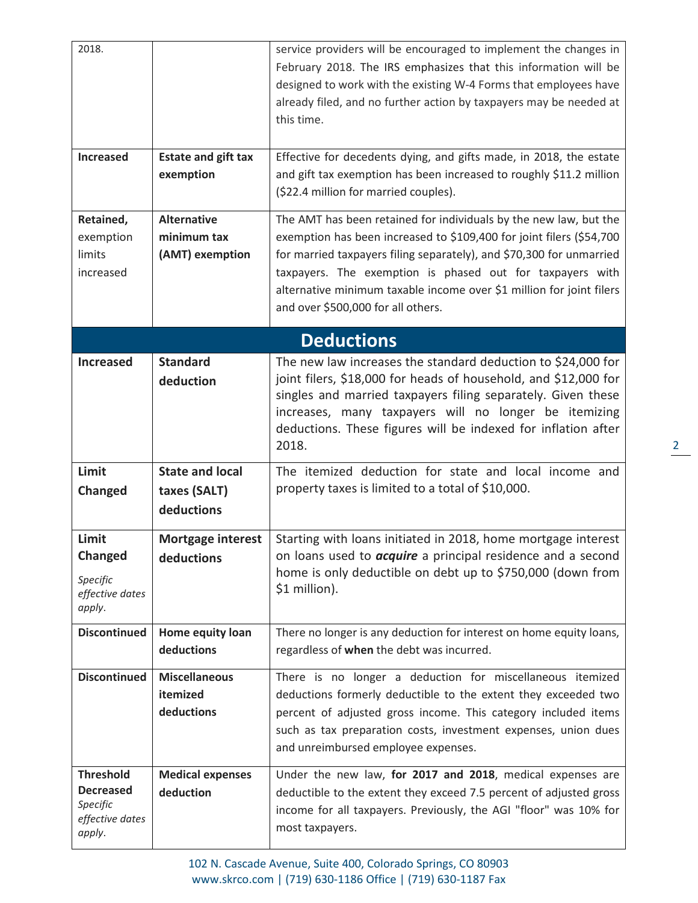| 2018.<br><b>Increased</b><br>Retained,<br>exemption<br>limits<br>increased    | <b>Estate and gift tax</b><br>exemption<br><b>Alternative</b><br>minimum tax<br>(AMT) exemption | service providers will be encouraged to implement the changes in<br>February 2018. The IRS emphasizes that this information will be<br>designed to work with the existing W-4 Forms that employees have<br>already filed, and no further action by taxpayers may be needed at<br>this time.<br>Effective for decedents dying, and gifts made, in 2018, the estate<br>and gift tax exemption has been increased to roughly \$11.2 million<br>(\$22.4 million for married couples).<br>The AMT has been retained for individuals by the new law, but the<br>exemption has been increased to \$109,400 for joint filers (\$54,700<br>for married taxpayers filing separately), and \$70,300 for unmarried<br>taxpayers. The exemption is phased out for taxpayers with |
|-------------------------------------------------------------------------------|-------------------------------------------------------------------------------------------------|---------------------------------------------------------------------------------------------------------------------------------------------------------------------------------------------------------------------------------------------------------------------------------------------------------------------------------------------------------------------------------------------------------------------------------------------------------------------------------------------------------------------------------------------------------------------------------------------------------------------------------------------------------------------------------------------------------------------------------------------------------------------|
|                                                                               |                                                                                                 | alternative minimum taxable income over \$1 million for joint filers<br>and over \$500,000 for all others.                                                                                                                                                                                                                                                                                                                                                                                                                                                                                                                                                                                                                                                          |
|                                                                               |                                                                                                 | <b>Deductions</b>                                                                                                                                                                                                                                                                                                                                                                                                                                                                                                                                                                                                                                                                                                                                                   |
| <b>Increased</b>                                                              | <b>Standard</b><br>deduction                                                                    | The new law increases the standard deduction to \$24,000 for<br>joint filers, \$18,000 for heads of household, and \$12,000 for<br>singles and married taxpayers filing separately. Given these<br>increases, many taxpayers will no longer be itemizing<br>deductions. These figures will be indexed for inflation after<br>2018.                                                                                                                                                                                                                                                                                                                                                                                                                                  |
| Limit<br><b>Changed</b>                                                       | <b>State and local</b><br>taxes (SALT)<br>deductions                                            | The itemized deduction for state and local income and<br>property taxes is limited to a total of \$10,000.                                                                                                                                                                                                                                                                                                                                                                                                                                                                                                                                                                                                                                                          |
| Limit<br><b>Changed</b><br>Specific<br>effective dates<br>apply.              | <b>Mortgage interest</b><br>deductions                                                          | Starting with loans initiated in 2018, home mortgage interest<br>on loans used to <i>acquire</i> a principal residence and a second<br>home is only deductible on debt up to \$750,000 (down from<br>\$1 million).                                                                                                                                                                                                                                                                                                                                                                                                                                                                                                                                                  |
| <b>Discontinued</b>                                                           | Home equity loan<br>deductions                                                                  | There no longer is any deduction for interest on home equity loans,<br>regardless of when the debt was incurred.                                                                                                                                                                                                                                                                                                                                                                                                                                                                                                                                                                                                                                                    |
| <b>Discontinued</b>                                                           | <b>Miscellaneous</b><br>itemized<br>deductions                                                  | There is no longer a deduction for miscellaneous itemized<br>deductions formerly deductible to the extent they exceeded two<br>percent of adjusted gross income. This category included items<br>such as tax preparation costs, investment expenses, union dues<br>and unreimbursed employee expenses.                                                                                                                                                                                                                                                                                                                                                                                                                                                              |
| <b>Threshold</b><br><b>Decreased</b><br>Specific<br>effective dates<br>apply. | <b>Medical expenses</b><br>deduction                                                            | Under the new law, for 2017 and 2018, medical expenses are<br>deductible to the extent they exceed 7.5 percent of adjusted gross<br>income for all taxpayers. Previously, the AGI "floor" was 10% for<br>most taxpayers.                                                                                                                                                                                                                                                                                                                                                                                                                                                                                                                                            |